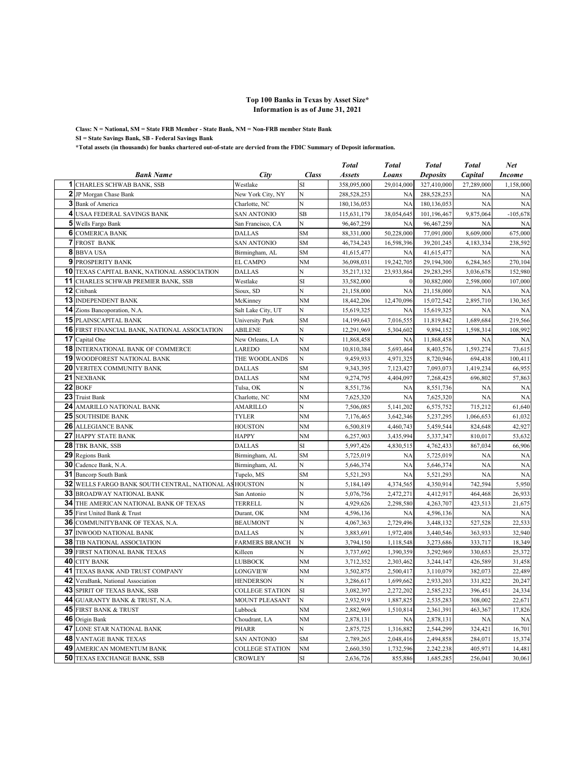## **Top 100 Banks in Texas by Asset Size\* Information is as of June 31, 2021**

**Class: N = National, SM = State FRB Member - State Bank, NM = Non-FRB member State Bank SI = State Savings Bank, SB - Federal Savings Bank**

**\*Total assets (in thousands) for banks chartered out-of-state are dervied from the FDIC Summary of Deposit information.**

|    |                                                    |                        |                | <b>Total</b>  | <b>Total</b> | <b>Total</b>    | <b>Total</b> | Net           |
|----|----------------------------------------------------|------------------------|----------------|---------------|--------------|-----------------|--------------|---------------|
|    | <b>Bank Name</b>                                   | City                   | <b>Class</b>   | <b>Assets</b> | Loans        | <b>Deposits</b> | Capital      | <b>Income</b> |
|    | <b>1</b> CHARLES SCHWAB BANK, SSB                  | Westlake               | SI             | 358,095,000   | 29,014,000   | 327,410,000     | 27,289,000   | 1,158,000     |
|    | 2 JP Morgan Chase Bank                             | New York City, NY      | N              | 288,528,253   | <b>NA</b>    | 288,528,253     | <b>NA</b>    | NA            |
|    | 3 Bank of America                                  | Charlotte, NC          | N              | 180,136,053   | <b>NA</b>    | 180,136,053     | <b>NA</b>    | NA            |
|    | <b>4 USAA FEDERAL SAVINGS BANK</b>                 | <b>SAN ANTONIO</b>     | SB             | 115,631,179   | 38,054,645   | 101,196,467     | 9,875,064    | $-105,678$    |
|    | 5 Wells Fargo Bank                                 | San Francisco, CA      | N              | 96,467,259    | <b>NA</b>    | 96,467,259      | <b>NA</b>    | <b>NA</b>     |
|    | <b>6</b> COMERICA BANK                             | <b>DALLAS</b>          | <b>SM</b>      | 88,331,000    | 50,228,000   | 77,091,000      | 8,609,000    | 675,000       |
|    | <b>7 FROST BANK</b>                                | <b>SAN ANTONIO</b>     | <b>SM</b>      | 46,734,243    | 16,598,396   | 39,201,245      | 4,183,334    | 238,592       |
| 8  | <b>BBVA USA</b>                                    | Birmingham, AL         | <b>SM</b>      | 41,615,477    | <b>NA</b>    | 41,615,477      | <b>NA</b>    | <b>NA</b>     |
|    | <b>9 PROSPERITY BANK</b>                           | <b>EL CAMPO</b>        | <b>NM</b>      | 36,098,031    | 19,242,705   | 29,194,300      | 6,284,365    | 270,104       |
|    | <b>10 TEXAS CAPITAL BANK, NATIONAL ASSOCIATION</b> | <b>DALLAS</b>          | Ń              | 35,217,132    | 23,933,864   | 29,283,295      | 3,036,678    | 152,980       |
| 11 | CHARLES SCHWAB PREMIER BANK, SSB                   | Westlake               | SI             | 33,582,000    |              | 30,882,000      | 2,598,000    | 107,000       |
| 12 | Citibank                                           | Sioux, SD              | Ń              | 21,158,000    | NA           | 21,158,000      | <b>NA</b>    | <b>NA</b>     |
| 13 | <b>INDEPENDENT BANK</b>                            | McKinney               | NM             | 18,442,206    | 12,470,096   | 15,072,542      | 2,895,710    | 130,365       |
|    | 14 Zions Bancoporation, N.A.                       | Salt Lake City, UT     | N              | 15,619,325    | <b>NA</b>    | 15,619,325      | <b>NA</b>    | <b>NA</b>     |
|    | <b>15 PLAINSCAPITAL BANK</b>                       | University Park        | <b>SM</b>      | 14,199,643    | 7,016,555    | 11,819,842      | 1,689,684    | 219,566       |
| 16 | FIRST FINANCIAL BANK, NATIONAL ASSOCIATION         | ABILENE                | N              | 12,291,969    | 5,304,602    | 9,894,152       | 1,598,314    | 108,992       |
| 17 | Capital One                                        | New Orleans, LA        | N              | 11,868,458    | <b>NA</b>    | 11,868,458      | <b>NA</b>    | <b>NA</b>     |
|    | <b>18 INTERNATIONAL BANK OF COMMERCE</b>           | LAREDO                 | NM             | 10,810,384    | 5,693,464    | 8,403,576       | 1,593,274    | 73,615        |
| 19 | WOODFOREST NATIONAL BANK                           | THE WOODLANDS          | N              | 9,459,933     | 4,971,325    | 8,720,946       | 694,438      | 100,411       |
| 20 | VERITEX COMMUNITY BANK                             | <b>DALLAS</b>          | <b>SM</b>      | 9,343,395     | 7,123,427    | 7,093,073       | 1,419,234    | 66,955        |
| 21 | <b>NEXBANK</b>                                     | <b>DALLAS</b>          | NM             | 9,274,795     | 4,404,097    | 7,268,425       | 696,802      | 57,863        |
|    | 22 BOKF                                            | Tulsa, OK              | N              | 8,551,736     | NA           | 8,551,736       | <b>NA</b>    | <b>NA</b>     |
|    | 23 Truist Bank                                     | Charlotte, NC          | NM             | 7,625,320     | <b>NA</b>    | 7,625,320       | <b>NA</b>    | <b>NA</b>     |
| 24 | AMARILLO NATIONAL BANK                             | AMARILLO               | N              | 7,506,085     | 5,141,202    | 6,575,752       | 715,212      | 61,640        |
| 25 | <b>SOUTHSIDE BANK</b>                              | <b>TYLER</b>           | N <sub>M</sub> | 7,176,465     | 3,642,346    | 5,237,295       | 1,066,653    | 61,032        |
| 26 | <b>ALLEGIANCE BANK</b>                             | <b>HOUSTON</b>         | NM             | 6,500,819     | 4,460,743    | 5,459,544       | 824,648      | 42,927        |
| 27 | <b>HAPPY STATE BANK</b>                            | <b>HAPPY</b>           | <b>NM</b>      | 6,257,903     | 3,435,994    | 5,337,347       | 810,017      | 53,632        |
| 28 | TBK BANK, SSB                                      | <b>DALLAS</b>          | SI             | 5,997,426     | 4,830,515    | 4,762,433       | 867,034      | 66,906        |
| 29 | Regions Bank                                       | Birmingham, AL         | <b>SM</b>      | 5,725,019     | <b>NA</b>    | 5,725,019       | <b>NA</b>    | NA            |
| 30 | Cadence Bank, N.A.                                 | Birmingham, AL         | N              | 5,646,374     | NA           | 5,646,374       | <b>NA</b>    | <b>NA</b>     |
|    | 31 Bancorp South Bank                              | Tupelo, MS             | <b>SM</b>      | 5,521,293     | NA           | 5,521,293       | NA           | <b>NA</b>     |
| 32 | WELLS FARGO BANK SOUTH CENTRAL, NATIONAL ASHOUSTON |                        | Ń              | 5,184,149     | 4,374,565    | 4,350,914       | 742,594      | 5,950         |
|    | <b>33 BROADWAY NATIONAL BANK</b>                   | San Antonio            | N              | 5,076,756     | 2,472,271    | 4,412,917       | 464,468      | 26,933        |
|    | <b>34 THE AMERICAN NATIONAL BANK OF TEXAS</b>      | TERRELL                | N              | 4,929,626     | 2,298,580    | 4,263,707       | 423,513      | 21,675        |
| 35 | First United Bank & Trust                          | Durant, OK             | NM             | 4,596,136     | <b>NA</b>    | 4,596,136       | <b>NA</b>    | <b>NA</b>     |
|    | 36 COMMUNITYBANK OF TEXAS, N.A.                    | <b>BEAUMONT</b>        | N              | 4,067,363     | 2,729,496    | 3,448,132       | 527,528      | 22,533        |
| 37 | <b>INWOOD NATIONAL BANK</b>                        | <b>DALLAS</b>          | N              | 3,883,691     | 1,972,408    | 3,440,546       | 363,933      | 32,940        |
| 38 | TIB NATIONAL ASSOCIATION                           | <b>FARMERS BRANCH</b>  | N              | 3,794,150     | 1,118,548    | 3,273,686       | 333,717      | 18,349        |
|    | <b>39 FIRST NATIONAL BANK TEXAS</b>                | Killeen                | N              | 3,737,692     | 1,390,359    | 3,292,969       | 330,653      | 25,372        |
|    | <b>40 CITY BANK</b>                                | LUBBOCK                | NM             | 3,712,352     | 2,303,462    | 3,244,147       | 426,589      | 31,458        |
| 41 | TEXAS BANK AND TRUST COMPANY                       | LONGVIEW               | NM             | 3,502,875     | 2,500,417    | 3,110,079       | 382,073      | 22,489        |
| 42 | VeraBank, National Association                     | <b>HENDERSON</b>       | N              | 3,286,617     | 1,699,662    | 2,933,203       | 331,822      | 20,247        |
| 43 | SPIRIT OF TEXAS BANK, SSB                          | <b>COLLEGE STATION</b> | SI             | 3,082,397     | 2,272,202    | 2,585,232       | 396,451      | 24,334        |
| 44 | <b>GUARANTY BANK &amp; TRUST, N.A.</b>             | <b>MOUNT PLEASANT</b>  | N              | 2,932,919     | 1,887,825    | 2,535,283       | 308,002      | 22,671        |
| 45 | <b>FIRST BANK &amp; TRUST</b>                      | Lubbock                | NM             | 2,882,969     | 1,510,814    | 2,361,391       | 463,367      | 17,826        |
|    | 46 Origin Bank                                     | Choudrant, LA          | NM             | 2,878,131     | <b>NA</b>    | 2,878,131       | <b>NA</b>    | <b>NA</b>     |
| 47 | LONE STAR NATIONAL BANK                            | PHARR                  | Ń              | 2,875,725     | 1,316,882    | 2,544,299       | 324,421      | 16,701        |
| 48 | <b>VANTAGE BANK TEXAS</b>                          | <b>SAN ANTONIO</b>     | <b>SM</b>      | 2,789,265     | 2,048,416    | 2,494,858       | 284,071      | 15,374        |
| 49 | AMERICAN MOMENTUM BANK                             | <b>COLLEGE STATION</b> | NM             | 2,660,350     | 1,732,596    | 2,242,238       | 405,971      | 14,481        |
|    | <b>50 TEXAS EXCHANGE BANK, SSB</b>                 | <b>CROWLEY</b>         | SI             | 2,636,726     | 855,886      | 1,685,285       | 256,041      | 30,061        |